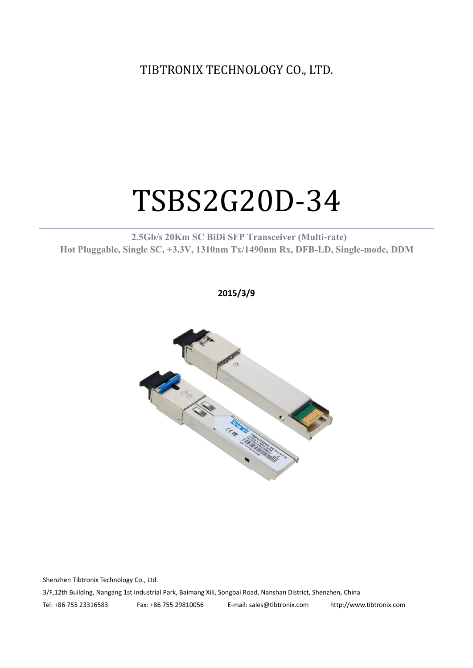TIBTRONIX TECHNOLOGY CO., LTD.

# TSBS2G20D-34

**2.5Gb/s 20Km SC BiDi SFP Transceiver (Multi-rate) Hot Pluggable, Single SC, +3.3V, 1310nm Tx/1490nm Rx, DFB-LD,Single-mode, DDM**

**2015/3/9**



Shenzhen Tibtronix Technology Co., Ltd. 3/F,12th Building, Nangang 1st Industrial Park, Baimang Xili, Songbai Road, Nanshan District, Shenzhen, China Tel: +86 755 23316583 Fax: +86 755 29810056 E-mail: sales@tibtronix.com http://www.tibtronix.com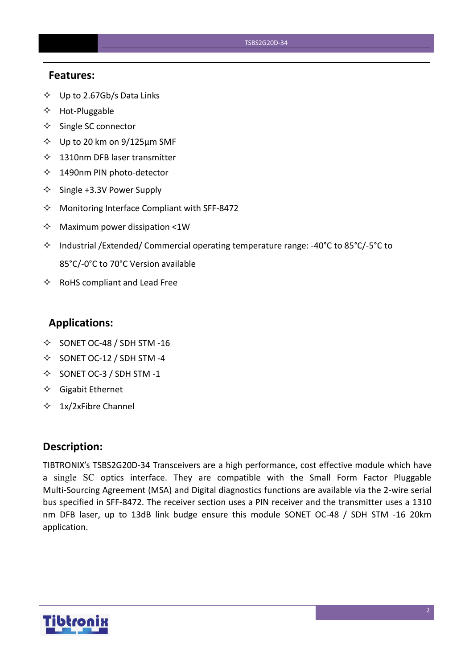### **Features:**

- $\diamondsuit$  Up to 2.67Gb/s Data Links
- $\Leftrightarrow$  Hot-Pluggable
- $\Leftrightarrow$  Single SC connector
- $\diamond$  Up to 20 km on 9/125 µm SMF
- $\lozenge$  1310nm DFB laser transmitter
- 1490nm PIN photo-detector
- $\diamond$  Single +3.3V Power Supply
- $\Diamond$  Monitoring Interface Compliant with SFF-8472
- $\Diamond$  Maximum power dissipation <1W
- Industrial /Extended/ Commercial operating temperature range: -40°C to 85°C/-5°C to 85°C/-0°C to 70°C Version available
- $\Leftrightarrow$  RoHS compliant and Lead Free

### **Applications:**

- $\diamond$  SONET OC-48 / SDH STM -16
- $\diamond$  SONET OC-12 / SDH STM -4
- $\diamond$  SONET OC-3 / SDH STM -1
- $\Diamond$  Gigabit Ethernet
- $\div$  1x/2xFibre Channel

### **Description:**

TIBTRONIX's TSBS2G20D-34 Transceivers are a high performance, cost effective module which have a single SC optics interface. They are compatible with the Small Form Factor Pluggable Multi-Sourcing Agreement (MSA) and Digital diagnostics functions are available via the 2-wire serial bus specified in SFF-8472. The receiver section uses a PIN receiver and the transmitter uses a 1310 nm DFB laser, up to 13dB link budge ensure this module SONET OC-48 / SDH STM -16 20km application.

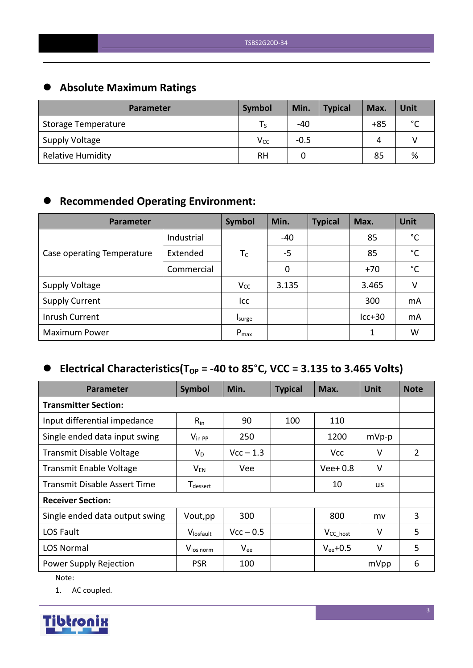# **Absolute Maximum Ratings**

| <b>Parameter</b>         | <b>Symbol</b>   | Min.   | <b>Typical</b> | Max.  | Unit        |
|--------------------------|-----------------|--------|----------------|-------|-------------|
| Storage Temperature      |                 | $-40$  |                | $+85$ | $\sim$<br>◡ |
| <b>Supply Voltage</b>    | V <sub>cc</sub> | $-0.5$ |                | Δ     |             |
| <b>Relative Humidity</b> | <b>RH</b>       |        |                | 85    | %           |

# **Recommended Operating Environment:**

| Parameter                  | Symbol     | Min.      | <b>Typical</b> | Max. | <b>Unit</b> |              |
|----------------------------|------------|-----------|----------------|------|-------------|--------------|
|                            | Industrial |           | $-40$          |      | 85          | $^{\circ}$ C |
| Case operating Temperature | Extended   | $T_C$     | $-5$           |      | 85          | $^{\circ}$ C |
|                            | Commercial |           | 0              |      | $+70$       | $^{\circ}$ C |
| <b>Supply Voltage</b>      |            | $V_{CC}$  | 3.135          |      | 3.465       | V            |
| <b>Supply Current</b>      |            | Icc       |                |      | 300         | mA           |
| Inrush Current             |            | Isurge    |                |      | $lcc+30$    | mA           |
| <b>Maximum Power</b>       |            | $P_{max}$ |                |      | 1           | W            |

# $\bullet$  Electrical Characteristics(T<sub>OP</sub> = -40 to 85°C, VCC = 3.135 to 3.465 Volts)

| <b>Parameter</b>                    | Symbol                      | Min.        | <b>Typical</b> | Max.           | <b>Unit</b> | <b>Note</b> |
|-------------------------------------|-----------------------------|-------------|----------------|----------------|-------------|-------------|
| <b>Transmitter Section:</b>         |                             |             |                |                |             |             |
| Input differential impedance        | $R_{in}$                    | 90          | 100            | 110            |             |             |
| Single ended data input swing       | $V_{\text{in PP}}$          | 250         |                | 1200           | $mVp-p$     |             |
| <b>Transmit Disable Voltage</b>     | $V_D$                       | $Vcc - 1.3$ |                | <b>Vcc</b>     | V           | 2           |
| <b>Transmit Enable Voltage</b>      | $V_{EN}$                    | Vee         |                | $Vee+0.8$      | $\vee$      |             |
| <b>Transmit Disable Assert Time</b> | <b>T</b> <sub>dessert</sub> |             |                | 10             | us          |             |
| <b>Receiver Section:</b>            |                             |             |                |                |             |             |
| Single ended data output swing      | Vout, pp                    | 300         |                | 800            | mv          | 3           |
| LOS Fault                           | Vlosfault                   | $Vcc - 0.5$ |                | $V_{CC\_host}$ | $\vee$      | 5           |
| <b>LOS Normal</b>                   | V <sub>los norm</sub>       | $V_{ee}$    |                | $V_{ee}$ +0.5  | $\vee$      | 5           |
| Power Supply Rejection              | <b>PSR</b>                  | 100         |                |                | mVpp        | 6           |

Note:

1. AC coupled.

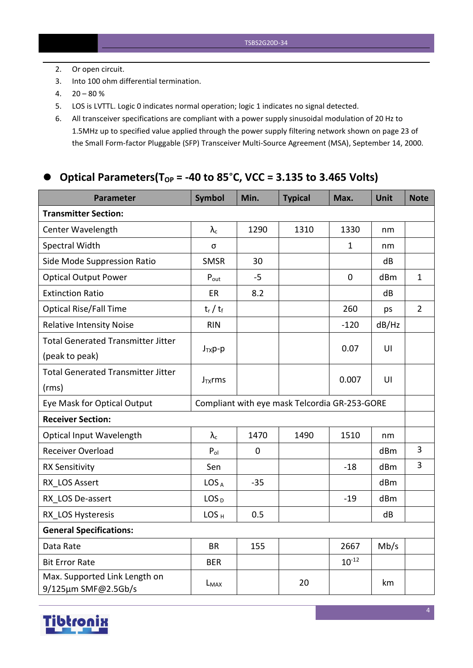- 2. Or open circuit.
- 3. Into 100 ohm differential termination.
- $4. \quad 20 80 \%$
- 5. LOS is LVTTL. Logic 0 indicates normal operation; logic 1 indicates no signal detected.
- 6. All transceiver specifications are compliant with a power supply sinusoidal modulation of 20 Hz to 1.5MHz up to specified value applied through the powersupply filtering network shown on page 23 of the Small Form-factor Pluggable (SFP) Transceiver Multi-Source Agreement (MSA), September 14, 2000.

### **Optical Parameters(TOP = -40 to 85**°**C, VCC = 3.135 to 3.465 Volts)**

| <b>Parameter</b>                                     | <b>Symbol</b>                                 | Min.        | <b>Typical</b> | Max.         | <b>Unit</b> | <b>Note</b>    |
|------------------------------------------------------|-----------------------------------------------|-------------|----------------|--------------|-------------|----------------|
| <b>Transmitter Section:</b>                          |                                               |             |                |              |             |                |
| Center Wavelength                                    | $\lambda_{\rm c}$                             | 1290        | 1310           | 1330         | nm          |                |
| Spectral Width                                       | σ                                             |             |                | $\mathbf{1}$ | nm          |                |
| Side Mode Suppression Ratio                          | <b>SMSR</b>                                   | 30          |                |              | dB          |                |
| <b>Optical Output Power</b>                          | $P_{\text{out}}$                              | $-5$        |                | $\mathbf 0$  | dBm         | $\mathbf{1}$   |
| <b>Extinction Ratio</b>                              | ER                                            | 8.2         |                |              | dB          |                |
| <b>Optical Rise/Fall Time</b>                        | $t_r / t_f$                                   |             |                | 260          | ps          | $\overline{2}$ |
| <b>Relative Intensity Noise</b>                      | <b>RIN</b>                                    |             |                | $-120$       | dB/Hz       |                |
| <b>Total Generated Transmitter Jitter</b>            |                                               |             |                | 0.07         | UI          |                |
| (peak to peak)                                       | $J_{TX}p-p$                                   |             |                |              |             |                |
| <b>Total Generated Transmitter Jitter</b>            | $J_{TX}$ rms                                  |             |                | 0.007        | U           |                |
| (rms)                                                |                                               |             |                |              |             |                |
| Eye Mask for Optical Output                          | Compliant with eye mask Telcordia GR-253-GORE |             |                |              |             |                |
| <b>Receiver Section:</b>                             |                                               |             |                |              |             |                |
| <b>Optical Input Wavelength</b>                      | $\lambda_c$                                   | 1470        | 1490           | 1510         | nm          |                |
| Receiver Overload                                    | $P_{ol}$                                      | $\mathbf 0$ |                |              | dBm         | $\overline{3}$ |
| <b>RX Sensitivity</b>                                | Sen                                           |             |                | $-18$        | dBm         | $\overline{3}$ |
| RX LOS Assert                                        | LOS <sub>A</sub>                              | $-35$       |                |              | dBm         |                |
| RX LOS De-assert                                     | LOS <sub>D</sub>                              |             |                | $-19$        | dBm         |                |
| RX LOS Hysteresis                                    | LOS <sub>H</sub>                              | 0.5         |                |              | dB          |                |
| <b>General Specifications:</b>                       |                                               |             |                |              |             |                |
| Data Rate                                            | <b>BR</b>                                     | 155         |                | 2667         | Mb/s        |                |
| <b>Bit Error Rate</b>                                | <b>BER</b>                                    |             |                | $10^{-12}$   |             |                |
| Max. Supported Link Length on<br>9/125µm SMF@2.5Gb/s | L <sub>MAX</sub>                              |             | 20             |              | km          |                |

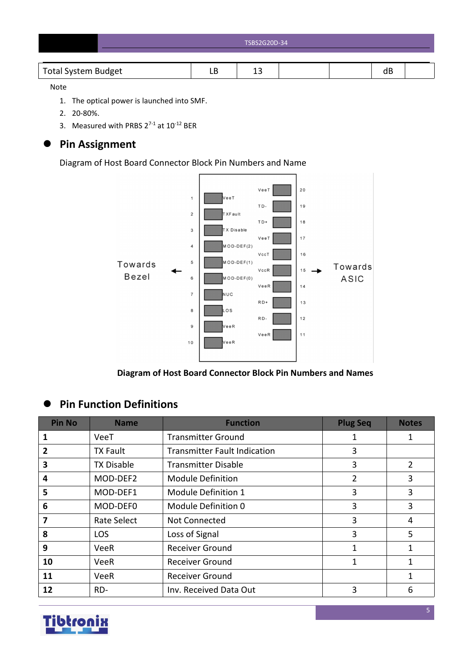| TSBS2G20D-34 |
|--------------|
|              |

|--|

### Note

- 1. The optical power is launched into SMF.
- 2. 20-80%.
- 3. Measured with PRBS  $2^{7-1}$  at  $10^{-12}$  BER

## **Pin Assignment**

Diagram of Host Board Connector Block Pin Numbers and Name



**Diagram of Host Board Connector Block Pin Numbers and Names**

## **Pin Function Definitions**

| <b>Pin No</b> | <b>Name</b>       | <b>Function</b>                     | <b>Plug Seq</b> | <b>Notes</b> |
|---------------|-------------------|-------------------------------------|-----------------|--------------|
| 1             | VeeT              | <b>Transmitter Ground</b>           | 1               | 1            |
| $\mathbf{2}$  | <b>TX Fault</b>   | <b>Transmitter Fault Indication</b> | 3               |              |
| 3             | <b>TX Disable</b> | <b>Transmitter Disable</b>          | 3               | 2            |
| 4             | MOD-DEF2          | <b>Module Definition</b>            | $\overline{2}$  | 3            |
| 5             | MOD-DEF1          | Module Definition 1                 | 3               | 3            |
| 6             | MOD-DEF0          | Module Definition 0                 | 3               | 3            |
| 7             | Rate Select       | Not Connected                       | 3               | 4            |
| 8             | <b>LOS</b>        | Loss of Signal                      | 3               | 5            |
| 9             | <b>VeeR</b>       | <b>Receiver Ground</b>              | 1               | 1            |
| 10            | <b>VeeR</b>       | <b>Receiver Ground</b>              | 1               | $\mathbf{1}$ |
| 11            | VeeR              | <b>Receiver Ground</b>              |                 |              |
| 12            | RD-               | Inv. Received Data Out              | 3               | 6            |

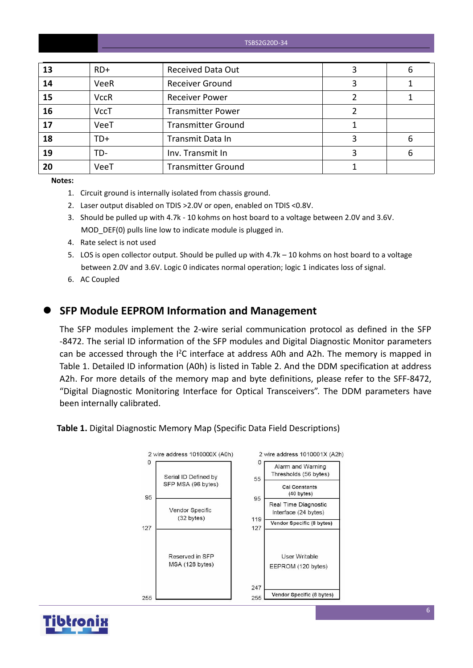| 13 | $RD+$       | <b>Received Data Out</b>  | 6 |
|----|-------------|---------------------------|---|
| 14 | VeeR        | <b>Receiver Ground</b>    |   |
| 15 | <b>VccR</b> | <b>Receiver Power</b>     |   |
| 16 | <b>VccT</b> | <b>Transmitter Power</b>  |   |
| 17 | VeeT        | <b>Transmitter Ground</b> |   |
| 18 | $TD+$       | Transmit Data In          | 6 |
| 19 | TD-         | Inv. Transmit In          | 6 |
| 20 | VeeT        | <b>Transmitter Ground</b> |   |

**Notes:**

- 1. Circuit ground is internally isolated from chassis ground.
- 2. Laser output disabled on TDIS >2.0V or open, enabled on TDIS <0.8V.
- 3. Should be pulled up with 4.7k 10 kohms on host board to a voltage between 2.0V and 3.6V. MOD DEF(0) pulls line low to indicate module is plugged in.
- 4. Rate select is not used
- 5. LOS is open collector output. Should be pulled up with 4.7k 10 kohms on host board to a voltage between 2.0V and 3.6V. Logic 0 indicates normal operation; logic 1 indicates loss of signal.
- 6. AC Coupled

### **SFP Module EEPROM Information and Management**

The SFP modules implement the 2-wire serial communication protocol as defined in the SFP -8472. The serial ID information of the SFP modules and Digital Diagnostic Monitor parameters can be accessed through the  $I^2C$  interface at address A0h and A2h. The memory is mapped in Table 1. Detailed ID information (A0h) is listed in Table 2. And the DDM specification at address A2h. For more details of the memory map and byte definitions, please refer to the SFF-8472, "Digital Diagnostic Monitoring Interface for Optical Transceivers". The DDM parameters have been internally calibrated.

**Table 1.** Digital Diagnostic Memory Map (Specific Data Field Descriptions)



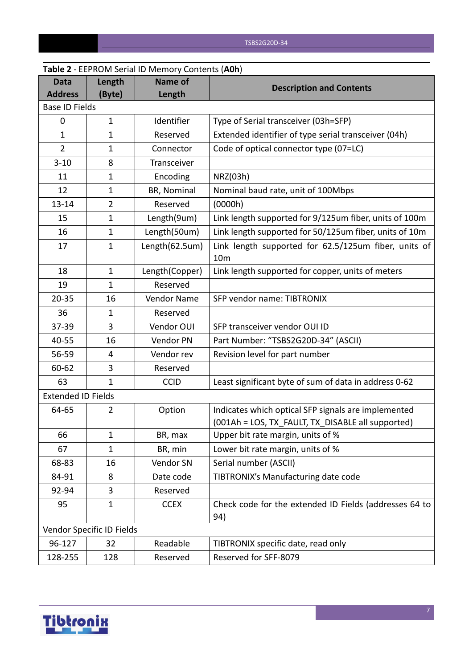|                           |                           | <b>Table 2</b> - LLF NOIVI SETIAL ID TVIETIIOLY COLLETIES (AUIT) |                                                                                                          |
|---------------------------|---------------------------|------------------------------------------------------------------|----------------------------------------------------------------------------------------------------------|
| Data                      | Length                    | <b>Name of</b>                                                   | <b>Description and Contents</b>                                                                          |
| <b>Address</b>            | (Byte)                    | Length                                                           |                                                                                                          |
| <b>Base ID Fields</b>     |                           |                                                                  |                                                                                                          |
| $\mathbf 0$               | $\mathbf{1}$              | Identifier                                                       | Type of Serial transceiver (03h=SFP)                                                                     |
| $\mathbf{1}$              | $\mathbf 1$               | Reserved                                                         | Extended identifier of type serial transceiver (04h)                                                     |
| $\overline{2}$            | 1                         | Connector                                                        | Code of optical connector type (07=LC)                                                                   |
| $3 - 10$                  | 8                         | Transceiver                                                      |                                                                                                          |
| 11                        | 1                         | Encoding                                                         | NRZ(03h)                                                                                                 |
| 12                        | $\mathbf{1}$              | BR, Nominal                                                      | Nominal baud rate, unit of 100Mbps                                                                       |
| $13 - 14$                 | $\overline{2}$            | Reserved                                                         | (0000h)                                                                                                  |
| 15                        | $\mathbf{1}$              | Length(9um)                                                      | Link length supported for 9/125um fiber, units of 100m                                                   |
| 16                        | $\mathbf{1}$              | Length(50um)                                                     | Link length supported for 50/125um fiber, units of 10m                                                   |
| 17                        | $\mathbf{1}$              | Length(62.5um)                                                   | Link length supported for 62.5/125um fiber, units of<br>10 <sub>m</sub>                                  |
| 18                        | $\mathbf{1}$              | Length(Copper)                                                   | Link length supported for copper, units of meters                                                        |
| 19                        | $\mathbf{1}$              | Reserved                                                         |                                                                                                          |
| $20 - 35$                 | 16                        | Vendor Name                                                      | SFP vendor name: TIBTRONIX                                                                               |
| 36                        | $\mathbf{1}$              | Reserved                                                         |                                                                                                          |
| 37-39                     | 3                         | Vendor OUI                                                       | SFP transceiver vendor OUI ID                                                                            |
| 40-55                     | 16                        | Vendor PN                                                        | Part Number: "TSBS2G20D-34" (ASCII)                                                                      |
| 56-59                     | 4                         | Vendor rev                                                       | Revision level for part number                                                                           |
| 60-62                     | 3                         | Reserved                                                         |                                                                                                          |
| 63                        | $\mathbf{1}$              | <b>CCID</b>                                                      | Least significant byte of sum of data in address 0-62                                                    |
| <b>Extended ID Fields</b> |                           |                                                                  |                                                                                                          |
| 64-65                     | 2                         | Option                                                           | Indicates which optical SFP signals are implemented<br>(001Ah = LOS, TX_FAULT, TX_DISABLE all supported) |
| 66                        | $\mathbf{1}$              | BR, max                                                          | Upper bit rate margin, units of %                                                                        |
| 67                        | $\mathbf{1}$              | BR, min                                                          | Lower bit rate margin, units of %                                                                        |
| 68-83                     | 16                        | Vendor SN                                                        | Serial number (ASCII)                                                                                    |
|                           |                           | Date code                                                        | TIBTRONIX's Manufacturing date code                                                                      |
| 84-91                     | 8                         |                                                                  |                                                                                                          |
| 92-94                     | 3                         | Reserved                                                         |                                                                                                          |
| 95                        | $\mathbf{1}$              | <b>CCEX</b>                                                      | Check code for the extended ID Fields (addresses 64 to<br>94)                                            |
|                           | Vendor Specific ID Fields |                                                                  |                                                                                                          |
| 96-127                    | 32                        | Readable                                                         | TIBTRONIX specific date, read only                                                                       |
| 128-255                   | 128                       | Reserved                                                         | Reserved for SFF-8079                                                                                    |

### **Table 2** - EEPROM Serial ID Memory Contents (**A0h**)

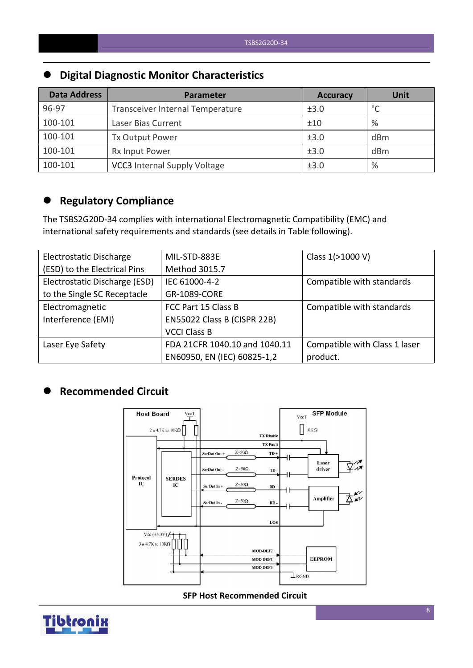# **Digital Diagnostic Monitor Characteristics**

| <b>Data Address</b> | Parameter                           | <b>Accuracy</b> | <b>Unit</b> |
|---------------------|-------------------------------------|-----------------|-------------|
| 96-97               | Transceiver Internal Temperature    | ±3.0            | $\circ$     |
| 100-101             | Laser Bias Current                  | ±10             | %           |
| 100-101             | Tx Output Power                     | ±3.0            | dBm         |
| 100-101             | Rx Input Power                      | ±3.0            | dBm         |
| 100-101             | <b>VCC3</b> Internal Supply Voltage | ±3.0            | %           |

# **Regulatory Compliance**

The TSBS2G20D-34 complies with international Electromagnetic Compatibility (EMC) and international safety requirements and standards (see details in Table following).

| Electrostatic Discharge       | MIL-STD-883E                  | Class 1(>1000 V)              |
|-------------------------------|-------------------------------|-------------------------------|
| (ESD) to the Electrical Pins  | Method 3015.7                 |                               |
| Electrostatic Discharge (ESD) | IEC 61000-4-2                 | Compatible with standards     |
| to the Single SC Receptacle   | GR-1089-CORE                  |                               |
| Electromagnetic               | FCC Part 15 Class B           | Compatible with standards     |
| Interference (EMI)            | EN55022 Class B (CISPR 22B)   |                               |
|                               | <b>VCCI Class B</b>           |                               |
| Laser Eye Safety              | FDA 21CFR 1040.10 and 1040.11 | Compatible with Class 1 laser |
|                               | EN60950, EN (IEC) 60825-1,2   | product.                      |

### **Recommended Circuit**



### **SFP Host Recommended Circuit**